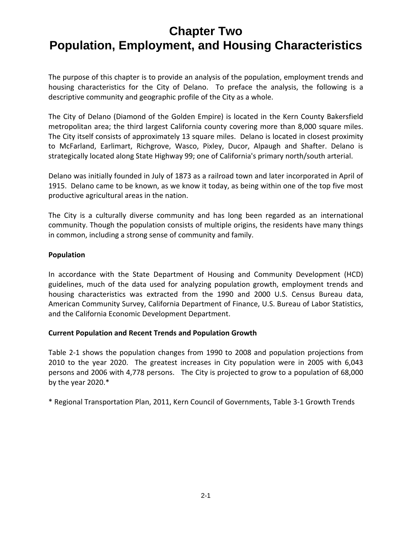The purpose of this chapter is to provide an analysis of the population, employment trends and housing characteristics for the City of Delano. To preface the analysis, the following is a descriptive community and geographic profile of the City as a whole.

The City of Delano (Diamond of the Golden Empire) is located in the Kern County Bakersfield metropolitan area; the third largest California county covering more than 8,000 square miles. The City itself consists of approximately 13 square miles. Delano is located in closest proximity to McFarland, Earlimart, Richgrove, Wasco, Pixley, Ducor, Alpaugh and Shafter. Delano is strategically located along State Highway 99; one of California's primary north/south arterial.

Delano was initially founded in July of 1873 as a railroad town and later incorporated in April of 1915. Delano came to be known, as we know it today, as being within one of the top five most productive agricultural areas in the nation.

The City is a culturally diverse community and has long been regarded as an international community. Though the population consists of multiple origins, the residents have many things in common, including a strong sense of community and family.

#### **Population**

In accordance with the State Department of Housing and Community Development (HCD) guidelines, much of the data used for analyzing population growth, employment trends and housing characteristics was extracted from the 1990 and 2000 U.S. Census Bureau data, American Community Survey, California Department of Finance, U.S. Bureau of Labor Statistics, and the California Economic Development Department.

#### **Current Population and Recent Trends and Population Growth**

Table 2‐1 shows the population changes from 1990 to 2008 and population projections from 2010 to the year 2020. The greatest increases in City population were in 2005 with 6,043 persons and 2006 with 4,778 persons. The City is projected to grow to a population of 68,000 by the year 2020.\*

\* Regional Transportation Plan, 2011, Kern Council of Governments, Table 3‐1 Growth Trends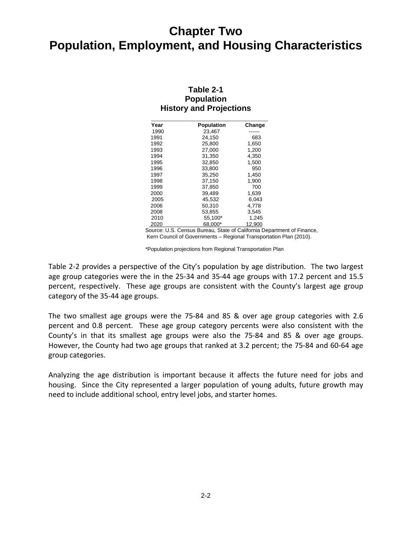| Table 2-1                      |
|--------------------------------|
| <b>Population</b>              |
| <b>History and Projections</b> |

| Year | Population | Change |
|------|------------|--------|
| 1990 | 23,467     |        |
| 1991 | 24,150     | 683    |
| 1992 | 25,800     | 1,650  |
| 1993 | 27,000     | 1,200  |
| 1994 | 31,350     | 4,350  |
| 1995 | 32,850     | 1,500  |
| 1996 | 33,800     | 950    |
| 1997 | 35,250     | 1,450  |
| 1998 | 37,150     | 1,900  |
| 1999 | 37,850     | 700    |
| 2000 | 39,489     | 1,639  |
| 2005 | 45,532     | 6,043  |
| 2006 | 50,310     | 4,778  |
| 2008 | 53,855     | 3,545  |
| 2010 | 55,100*    | 1,245  |
| 2020 | 68,000*    | 12,900 |

Source: U.S. Census Bureau, State of California Department of Finance, Kern Council of Governments – Regional Transportation Plan (2010).

\*Population projections from Regional Transportation Plan

Table 2‐2 provides a perspective of the City's population by age distribution. The two largest age group categories were the in the 25-34 and 35-44 age groups with 17.2 percent and 15.5 percent, respectively. These age groups are consistent with the County's largest age group category of the 35‐44 age groups.

The two smallest age groups were the 75‐84 and 85 & over age group categories with 2.6 percent and 0.8 percent. These age group category percents were also consistent with the County's in that its smallest age groups were also the 75‐84 and 85 & over age groups. However, the County had two age groups that ranked at 3.2 percent; the 75‐84 and 60‐64 age group categories.

Analyzing the age distribution is important because it affects the future need for jobs and housing. Since the City represented a larger population of young adults, future growth may need to include additional school, entry level jobs, and starter homes.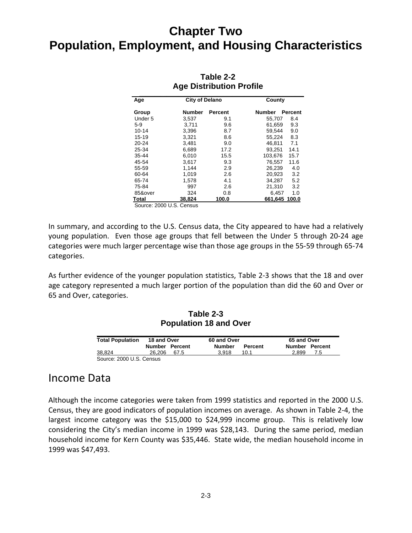| Age       |               |         | County                          |
|-----------|---------------|---------|---------------------------------|
| Group     | <b>Number</b> | Percent | <b>Number</b><br><b>Percent</b> |
| Under 5   | 3,537         | 9.1     | 8.4<br>55,707                   |
| $5-9$     | 3,711         | 9.6     | 9.3<br>61,659                   |
| $10 - 14$ | 3,396         | 8.7     | 9.0<br>59.544                   |
| $15 - 19$ | 3,321         | 8.6     | 8.3<br>55,224                   |
| $20 - 24$ | 3,481         | 9.0     | 46,811<br>7.1                   |
| 25-34     | 6,689         | 17.2    | 93,251<br>14.1                  |
| 35-44     | 6,010         | 15.5    | 103,676<br>15.7                 |
| 45-54     | 3,617         | 9.3     | 76,557<br>11.6                  |
| 55-59     | 1.144         | 2.9     | 4.0<br>26.239                   |
| 60-64     | 1,019         | 2.6     | 3.2<br>20,923                   |
| 65-74     | 1,578         | 4.1     | 5.2<br>34.287                   |
| 75-84     | 997           | 2.6     | 21,310<br>3.2                   |
| 85&over   | 324           | 0.8     | 1.0<br>6,457                    |
| Total     | 38,824        | 100.0   | 661,645 100.0                   |
|           |               |         | <b>City of Delano</b>           |

#### **Table 2-2 Age Distribution Profile**

Source: 2000 U.S. Census

In summary, and according to the U.S. Census data, the City appeared to have had a relatively young population. Even those age groups that fell between the Under 5 through 20-24 age categories were much larger percentage wise than those age groups in the 55‐59 through 65‐74 categories.

As further evidence of the younger population statistics, Table 2‐3 shows that the 18 and over age category represented a much larger portion of the population than did the 60 and Over or 65 and Over, categories.

#### **Table 2-3 Population 18 and Over**

| <b>Total Population</b> | 18 and Over    | 60 and Over                     | 65 and Over    |
|-------------------------|----------------|---------------------------------|----------------|
|                         | Number Percent | <b>Number</b><br><b>Percent</b> | Number Percent |
| 38.824                  | 26.206<br>67.5 | 3.918<br>10.1                   | 2.899<br>7.5   |

### Income Data

Although the income categories were taken from 1999 statistics and reported in the 2000 U.S. Census, they are good indicators of population incomes on average. As shown in Table 2‐4, the largest income category was the \$15,000 to \$24,999 income group. This is relatively low considering the City's median income in 1999 was \$28,143. During the same period, median household income for Kern County was \$35,446. State wide, the median household income in 1999 was \$47,493.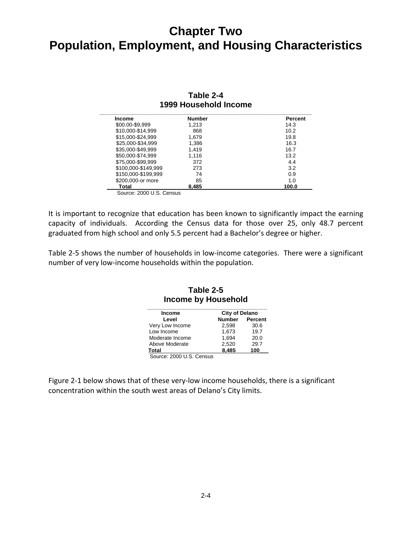| <b>Income</b>       | <b>Number</b> | Percent |
|---------------------|---------------|---------|
| \$00.00-\$9,999     | 1.213         | 14.3    |
| \$10,000-\$14,999   | 868           | 10.2    |
| \$15,000-\$24,999   | 1,679         | 19.8    |
| \$25,000-\$34,999   | 1,386         | 16.3    |
| \$35,000-\$49,999   | 1,419         | 16.7    |
| \$50,000-\$74,999   | 1,116         | 13.2    |
| \$75,000-\$99,999   | 372           | 4.4     |
| \$100,000-\$149.999 | 273           | 3.2     |
| \$150,000-\$199,999 | 74            | 0.9     |
| \$200,000-or more   | 85            | 1.0     |
| Total               | 8.485         | 100.0   |

#### **Table 2-4 1999 Household Income \_\_\_\_\_\_\_\_\_\_\_\_\_\_\_\_\_\_\_\_\_\_\_\_\_\_\_\_\_\_\_\_\_\_\_\_\_\_\_\_\_\_\_\_\_\_\_\_\_\_\_\_\_\_\_\_\_\_\_\_\_\_\_\_\_\_\_\_\_\_\_**

It is important to recognize that education has been known to significantly impact the earning capacity of individuals. According the Census data for those over 25, only 48.7 percent graduated from high school and only 5.5 percent had a Bachelor's degree or higher.

Table 2-5 shows the number of households in low-income categories. There were a significant number of very low‐income households within the population.

| <b>Income</b>   | <b>City of Delano</b> |                |
|-----------------|-----------------------|----------------|
| Level           | <b>Number</b>         | <b>Percent</b> |
| Very Low Income | 2.598                 | 30.6           |
| Low Income      | 1,673                 | 19.7           |
| Moderate Income | 1.694                 | 20.0           |
| Above Moderate  | 2,520                 | 29.7           |
| Total           | 8,485                 | 100            |

**Table 2-5 Income by Household \_\_\_\_\_\_\_\_\_\_\_\_\_\_\_\_\_\_\_\_\_\_\_\_\_\_\_\_\_\_\_\_\_\_\_\_\_\_\_\_** 

Figure 2-1 below shows that of these very-low income households, there is a significant concentration within the south west areas of Delano's City limits.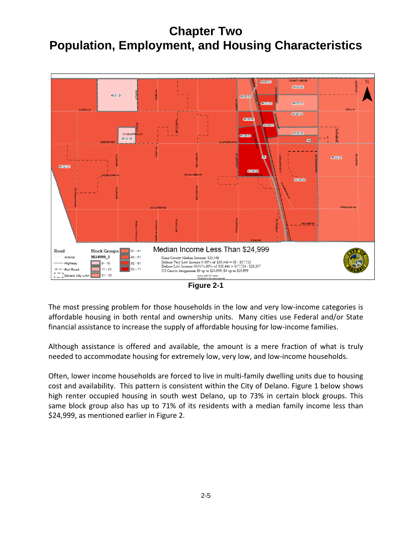

**Figure 2-1** 

The most pressing problem for those households in the low and very low-income categories is affordable housing in both rental and ownership units. Many cities use Federal and/or State financial assistance to increase the supply of affordable housing for low-income families.

Although assistance is offered and available, the amount is a mere fraction of what is truly needed to accommodate housing for extremely low, very low, and low-income households.

Often, lower income households are forced to live in multi‐family dwelling units due to housing cost and availability. This pattern is consistent within the City of Delano. Figure 1 below shows high renter occupied housing in south west Delano, up to 73% in certain block groups. This same block group also has up to 71% of its residents with a median family income less than \$24,999, as mentioned earlier in Figure 2.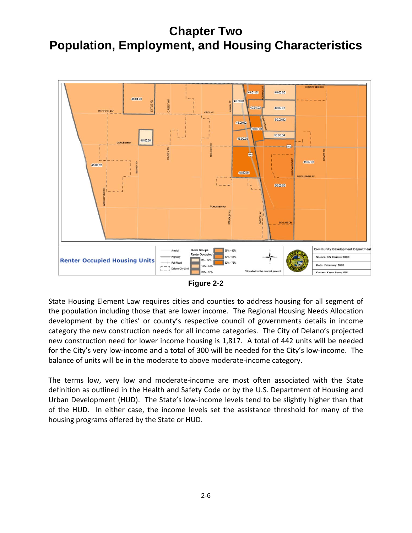

**Figure 2-2** 

State Housing Element Law requires cities and counties to address housing for all segment of the population including those that are lower income. The Regional Housing Needs Allocation development by the cities' or county's respective council of governments details in income category the new construction needs for all income categories. The City of Delano's projected new construction need for lower income housing is 1,817. A total of 442 units will be needed for the City's very low‐income and a total of 300 will be needed for the City's low‐income. The balance of units will be in the moderate to above moderate‐income category.

The terms low, very low and moderate‐income are most often associated with the State definition as outlined in the Health and Safety Code or by the U.S. Department of Housing and Urban Development (HUD). The State's low‐income levels tend to be slightly higher than that of the HUD. In either case, the income levels set the assistance threshold for many of the housing programs offered by the State or HUD.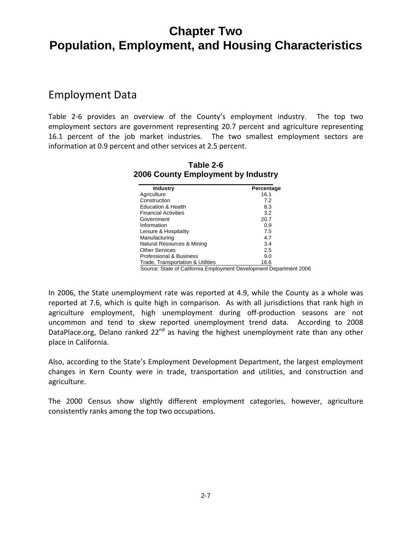### Employment Data

Table 2-6 provides an overview of the County's employment industry. The top two employment sectors are government representing 20.7 percent and agriculture representing 16.1 percent of the job market industries. The two smallest employment sectors are information at 0.9 percent and other services at 2.5 percent.

| <b>Industry</b>                   | Percentage |
|-----------------------------------|------------|
| Agriculture                       | 16.1       |
| Construction                      | 7.2        |
| <b>Education &amp; Health</b>     | 8.3        |
| <b>Financial Activities</b>       | 3.2        |
| Government                        | 20.7       |
| Information                       | 0.9        |
| Leisure & Hospitality             | 7.5        |
| Manufacturing                     | 4.7        |
| Natural Resources & Mining        | 3.4        |
| <b>Other Services</b>             | 2.5        |
| Professional & Business           | 9.0        |
| Trade. Transportation & Utilities | 16.6       |

**Table 2-6 2006 County Employment by Industry** 

Source: State of California Employment Development Department 2006

In 2006, the State unemployment rate was reported at 4.9, while the County as a whole was reported at 7.6, which is quite high in comparison. As with all jurisdictions that rank high in agriculture employment, high unemployment during off-production seasons are not uncommon and tend to skew reported unemployment trend data. According to 2008 DataPlace.org, Delano ranked 22<sup>nd</sup> as having the highest unemployment rate than any other place in California.

Also, according to the State's Employment Development Department, the largest employment changes in Kern County were in trade, transportation and utilities, and construction and agriculture.

The 2000 Census show slightly different employment categories, however, agriculture consistently ranks among the top two occupations.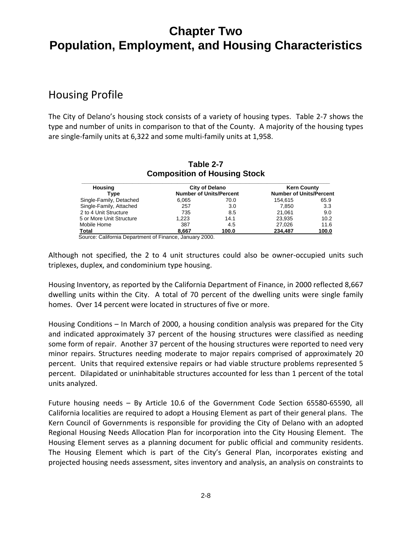### Housing Profile

The City of Delano's housing stock consists of a variety of housing types. Table 2‐7 shows the type and number of units in comparison to that of the County. A majority of the housing types are single‐family units at 6,322 and some multi‐family units at 1,958.

|                          | $-$ , $-$ ,    , , |                                |                                |       |
|--------------------------|--------------------|--------------------------------|--------------------------------|-------|
| Housing                  | City of Delano     |                                | <b>Kern County</b>             |       |
| Tvpe                     |                    | <b>Number of Units/Percent</b> | <b>Number of Units/Percent</b> |       |
| Single-Family, Detached  | 6.065              | 70.0                           | 154.615                        | 65.9  |
| Single-Family, Attached  | 257                | 3.0                            | 7.850                          | 3.3   |
| 2 to 4 Unit Structure    | 735                | 8.5                            | 21.061                         | 9.0   |
| 5 or More Unit Structure | 1.223              | 14.1                           | 23.935                         | 10.2  |
| Mobile Home              | 387                | 4.5                            | 27.026                         | 11.6  |
| Total                    | 8.667              | 100.0                          | 234.487                        | 100.0 |

#### **Table 2-7 Composition of Housing Stock**

Source: California Department of Finance, January 2000.

Although not specified, the 2 to 4 unit structures could also be owner‐occupied units such triplexes, duplex, and condominium type housing.

Housing Inventory, as reported by the California Department of Finance, in 2000 reflected 8,667 dwelling units within the City. A total of 70 percent of the dwelling units were single family homes. Over 14 percent were located in structures of five or more.

Housing Conditions – In March of 2000, a housing condition analysis was prepared for the City and indicated approximately 37 percent of the housing structures were classified as needing some form of repair. Another 37 percent of the housing structures were reported to need very minor repairs. Structures needing moderate to major repairs comprised of approximately 20 percent. Units that required extensive repairs or had viable structure problems represented 5 percent. Dilapidated or uninhabitable structures accounted for less than 1 percent of the total units analyzed.

Future housing needs – By Article 10.6 of the Government Code Section 65580‐65590, all California localities are required to adopt a Housing Element as part of their general plans. The Kern Council of Governments is responsible for providing the City of Delano with an adopted Regional Housing Needs Allocation Plan for incorporation into the City Housing Element. The Housing Element serves as a planning document for public official and community residents. The Housing Element which is part of the City's General Plan, incorporates existing and projected housing needs assessment, sites inventory and analysis, an analysis on constraints to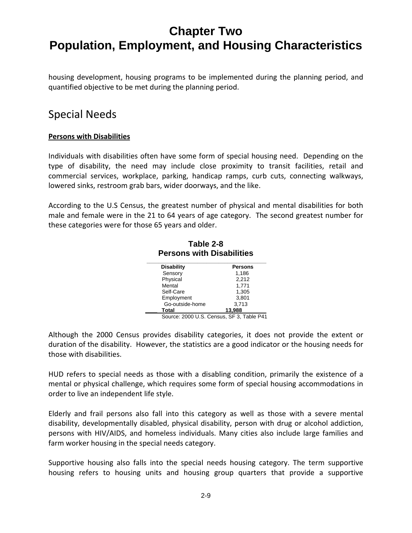housing development, housing programs to be implemented during the planning period, and quantified objective to be met during the planning period.

### Special Needs

#### **Persons with Disabilities**

Individuals with disabilities often have some form of special housing need. Depending on the type of disability, the need may include close proximity to transit facilities, retail and commercial services, workplace, parking, handicap ramps, curb cuts, connecting walkways, lowered sinks, restroom grab bars, wider doorways, and the like.

According to the U.S Census, the greatest number of physical and mental disabilities for both male and female were in the 21 to 64 years of age category. The second greatest number for these categories were for those 65 years and older.

**Table 2-8** 

**Persons with Disabilities**<br>Disability Persons **Disability** Sensory 1,186<br>Physical 2.212 Physical Mental 1,771 Self-Care 1,305 Employment 3,801<br>
Go-outside-home 3,713 Go-outside-home **\_\_\_\_ Total 13,988** 

Source: 2000 U.S. Census, SF 3, Table P41

Although the 2000 Census provides disability categories, it does not provide the extent or duration of the disability. However, the statistics are a good indicator or the housing needs for those with disabilities.

HUD refers to special needs as those with a disabling condition, primarily the existence of a mental or physical challenge, which requires some form of special housing accommodations in order to live an independent life style.

Elderly and frail persons also fall into this category as well as those with a severe mental disability, developmentally disabled, physical disability, person with drug or alcohol addiction, persons with HIV/AIDS, and homeless individuals. Many cities also include large families and farm worker housing in the special needs category.

Supportive housing also falls into the special needs housing category. The term supportive housing refers to housing units and housing group quarters that provide a supportive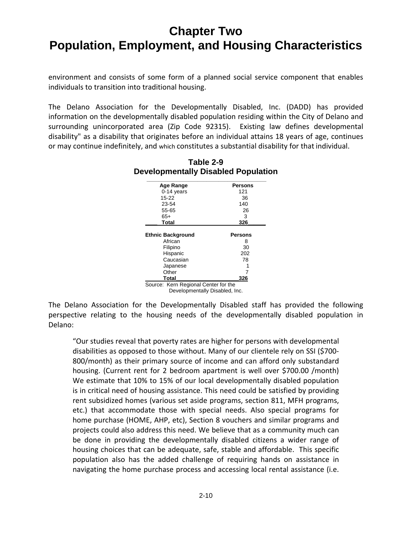environment and consists of some form of a planned social service component that enables individuals to transition into traditional housing.

The Delano Association for the Developmentally Disabled, Inc. (DADD) has provided information on the developmentally disabled population residing within the City of Delano and surrounding unincorporated area (Zip Code 92315). Existing law defines developmental disability" as a disability that originates before an individual attains 18 years of age, continues or may continue indefinitely, and which constitutes a substantial disability for that individual.

| <b>Age Range</b>                      | <b>Persons</b> |
|---------------------------------------|----------------|
| $0-14$ years                          | 121            |
| $15 - 22$                             | 36             |
| 23-54                                 | 140            |
| 55-65                                 | 26             |
| $65+$                                 | 3              |
| <b>Total</b>                          | 326            |
|                                       |                |
|                                       |                |
|                                       | <b>Persons</b> |
| African                               | 8              |
| Filipino                              | 30             |
| Hispanic                              | 202            |
| <b>Ethnic Background</b><br>Caucasian | 78             |
| Japanese                              |                |
| Other                                 |                |

**Table 2-9 Developmentally Disabled Population** 

Developmentally Disabled, Inc.

The Delano Association for the Developmentally Disabled staff has provided the following perspective relating to the housing needs of the developmentally disabled population in Delano:

"Our studies reveal that poverty rates are higher for persons with developmental disabilities as opposed to those without. Many of our clientele rely on SSI (\$700‐ 800/month) as their primary source of income and can afford only substandard housing. (Current rent for 2 bedroom apartment is well over \$700.00 /month) We estimate that 10% to 15% of our local developmentally disabled population is in critical need of housing assistance. This need could be satisfied by providing rent subsidized homes (various set aside programs, section 811, MFH programs, etc.) that accommodate those with special needs. Also special programs for home purchase (HOME, AHP, etc), Section 8 vouchers and similar programs and projects could also address this need. We believe that as a community much can be done in providing the developmentally disabled citizens a wider range of housing choices that can be adequate, safe, stable and affordable. This specific population also has the added challenge of requiring hands on assistance in navigating the home purchase process and accessing local rental assistance (i.e.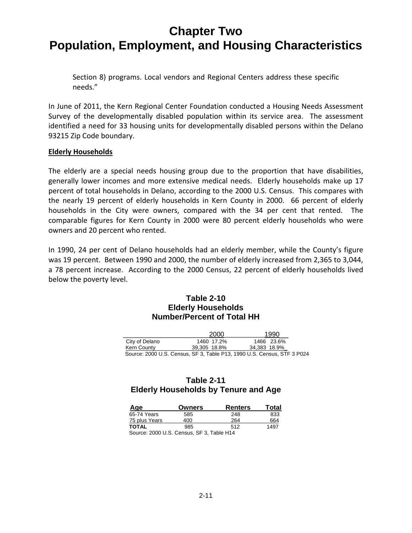Section 8) programs. Local vendors and Regional Centers address these specific needs."

In June of 2011, the Kern Regional Center Foundation conducted a Housing Needs Assessment Survey of the developmentally disabled population within its service area. The assessment identified a need for 33 housing units for developmentally disabled persons within the Delano 93215 Zip Code boundary.

#### **Elderly Households**

The elderly are a special needs housing group due to the proportion that have disabilities, generally lower incomes and more extensive medical needs. Elderly households make up 17 percent of total households in Delano, according to the 2000 U.S. Census. This compares with the nearly 19 percent of elderly households in Kern County in 2000. 66 percent of elderly households in the City were owners, compared with the 34 per cent that rented. The comparable figures for Kern County in 2000 were 80 percent elderly households who were owners and 20 percent who rented.

In 1990, 24 per cent of Delano households had an elderly member, while the County's figure was 19 percent. Between 1990 and 2000, the number of elderly increased from 2,365 to 3,044, a 78 percent increase. According to the 2000 Census, 22 percent of elderly households lived below the poverty level.

#### **Table 2-10 Elderly Households Number/Percent of Total HH**

|                | 2000         | 1990                                                                    |  |
|----------------|--------------|-------------------------------------------------------------------------|--|
| City of Delano | 1460 17.2%   | 1466 23.6%                                                              |  |
| Kern County    | 39.305 18.8% | 34.383 18.9%                                                            |  |
|                |              | Source: 2000 U.S. Census, SF 3, Table P13, 1990 U.S. Census, STF 3 P024 |  |

#### **Table 2-11 Elderly Households by Tenure and Age**

| Age                                                                                                                                                                                                                                                                                                                                                                                                                                                 | Owners | <b>Renters</b> | Total |
|-----------------------------------------------------------------------------------------------------------------------------------------------------------------------------------------------------------------------------------------------------------------------------------------------------------------------------------------------------------------------------------------------------------------------------------------------------|--------|----------------|-------|
| 65-74 Years                                                                                                                                                                                                                                                                                                                                                                                                                                         | 585    | 248            | 833   |
| 75 plus Years                                                                                                                                                                                                                                                                                                                                                                                                                                       | 400    | 264            | 664   |
| <b>TOTAL</b>                                                                                                                                                                                                                                                                                                                                                                                                                                        | 985    | 512            | 1497  |
| $\begin{array}{c} \n\text{} \\ \text{} \\ \text{} \\ \text{} \\ \text{} \\ \text{} \\ \text{} \\ \text{} \\ \text{} \\ \text{} \\ \text{} \\ \text{} \\ \text{} \\ \text{} \\ \text{} \\ \text{} \\ \text{} \\ \text{} \\ \text{} \\ \text{} \\ \text{} \\ \text{} \\ \text{} \\ \text{} \\ \text{} \\ \text{} \\ \text{} \\ \text{} \\ \text{} \\ \text{} \\ \text{} \\ \text{} \\ \text{} \\ \text{} \\ \text{} \\ \$<br>$\overline{\phantom{0}}$ |        |                |       |

Source: 2000 U.S. Census, SF 3, Table H14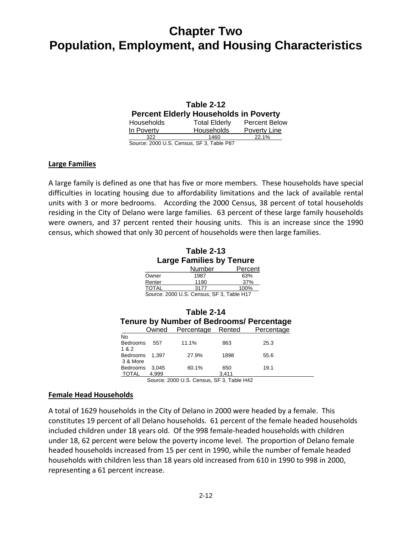|                                              | Table 2-12           |                      |
|----------------------------------------------|----------------------|----------------------|
| <b>Percent Elderly Households in Poverty</b> |                      |                      |
| <b>Households</b>                            | <b>Total Elderly</b> | <b>Percent Below</b> |
| In Poverty                                   | Households           | Poverty Line         |
| 322                                          | 1460                 | 22.1%                |
| Source: 2000 U.S. Cancus, S.E.3, Table P87   |                      |                      |

Source: 2000 U.S. Census, SF 3, Table P87

#### **Large Families**

A large family is defined as one that has five or more members. These households have special difficulties in locating housing due to affordability limitations and the lack of available rental units with 3 or more bedrooms. According the 2000 Census, 38 percent of total households residing in the City of Delano were large families. 63 percent of these large family households were owners, and 37 percent rented their housing units. This is an increase since the 1990 census, which showed that only 30 percent of households were then large families.

**Table 2-13 Large Families by Tenure** 

|              | Number | Percent |
|--------------|--------|---------|
| Owner        | 1987   | 63%     |
| Renter       | 1190   | 37%     |
| <b>TOTAL</b> | 3177   | 100%    |
| $\sim$       | .      | _ _ _ _ |

Source: 2000 U.S. Census, SF 3, Table H17

|                                 | Table 2-14<br>Tenure by Number of Bedrooms/ Percentage |                   |              |            |  |
|---------------------------------|--------------------------------------------------------|-------------------|--------------|------------|--|
|                                 | Owned                                                  | Percentage Rented |              | Percentage |  |
| No<br><b>Bedrooms</b><br>1&2    | 557                                                    | 11.1%             | 863          | 25.3       |  |
| <b>Bedrooms</b><br>3 & More     | 1.397                                                  | 27.9%             | 1898         | 55.6       |  |
| <b>Bedrooms</b><br><b>TOTAL</b> | 3.045<br>4.999                                         | 60.1%             | 650<br>3,411 | 19.1       |  |

Source: 2000 U.S. Census, SF 3, Table H42

#### **Female Head Households**

A total of 1629 households in the City of Delano in 2000 were headed by a female. This constitutes 19 percent of all Delano households. 61 percent of the female headed households included children under 18 years old. Of the 998 female‐headed households with children under 18, 62 percent were below the poverty income level. The proportion of Delano female headed households increased from 15 per cent in 1990, while the number of female headed households with children less than 18 years old increased from 610 in 1990 to 998 in 2000, representing a 61 percent increase.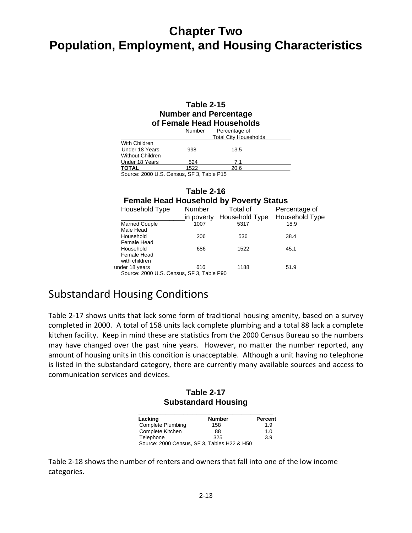#### **Table 2-15 Number and Percentage of Female Head Households**

|                                           | Number | Percentage of<br><b>Total City Households</b> |
|-------------------------------------------|--------|-----------------------------------------------|
| With Children<br>Under 18 Years           | 998    | 13.5                                          |
| <b>Without Children</b><br>Under 18 Years | 524    | 7.1                                           |
| <b>TOTAL</b>                              | 1522   | 20.6                                          |
| Source: 2000 U.S. Census, SF 3, Table P15 |        |                                               |

#### **Table 2-16 Female Head Household by Poverty Status**

| Household Type                            | Number     | Total of       | Percentage of  |
|-------------------------------------------|------------|----------------|----------------|
|                                           | in poverty | Household Type | Household Type |
| <b>Married Couple</b>                     | 1007       | 5317           | 18.9           |
| Male Head                                 |            |                |                |
| Household                                 | 206        | 536            | 38.4           |
| Female Head                               |            |                |                |
| Household                                 | 686        | 1522           | 45.1           |
| Female Head                               |            |                |                |
| with children                             |            |                |                |
| under 18 years                            | 616        | 1188           | 51.9           |
| Course: 2000 U.C. Canaus, CE.3. Table DOO |            |                |                |

Source: 2000 U.S. Census, SF 3, Table P90

### Substandard Housing Conditions

Table 2‐17 shows units that lack some form of traditional housing amenity, based on a survey completed in 2000. A total of 158 units lack complete plumbing and a total 88 lack a complete kitchen facility. Keep in mind these are statistics from the 2000 Census Bureau so the numbers may have changed over the past nine years. However, no matter the number reported, any amount of housing units in this condition is unacceptable. Although a unit having no telephone is listed in the substandard category, there are currently many available sources and access to communication services and devices.

#### **Table 2-17 Substandard Housing**

| <b>Number</b> | <b>Percent</b> |
|---------------|----------------|
| 158           | 1.9            |
| 88            | 1.0            |
| 325           | 3.9            |
|               |                |

Table 2‐18 shows the number of renters and owners that fall into one of the low income categories.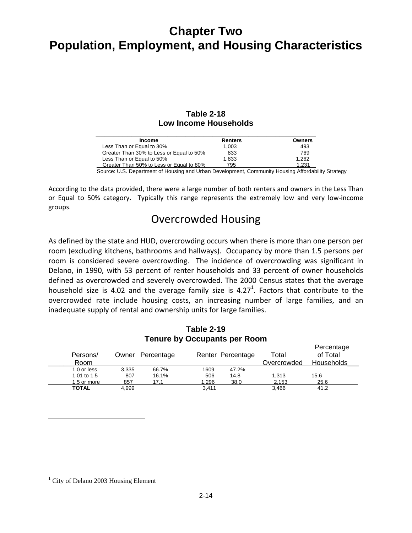#### **Table 2-18 Low Income Households**

| <b>Income</b>                            | Renters | <b>Owners</b> |
|------------------------------------------|---------|---------------|
| Less Than or Equal to 30%                | 1,003   | 493           |
| Greater Than 30% to Less or Equal to 50% | 833     | 769           |
| Less Than or Equal to 50%                | 1,833   | 1.262         |
| Greater Than 50% to Less or Equal to 80% | 795     | 1.231         |

Source: U.S. Department of Housing and Urban Development, Community Housing Affordability Strategy

According to the data provided, there were a large number of both renters and owners in the Less Than or Equal to 50% category. Typically this range represents the extremely low and very low‐income groups.

### Overcrowded Housing

As defined by the state and HUD, overcrowding occurs when there is more than one person per room (excluding kitchens, bathrooms and hallways). Occupancy by more than 1.5 persons per room is considered severe overcrowding. The incidence of overcrowding was significant in Delano, in 1990, with 53 percent of renter households and 33 percent of owner households defined as overcrowded and severely overcrowded. The 2000 Census states that the average household size is 4.02 and the average family size is 4.27<sup>1</sup>. Factors that contribute to the overcrowded rate include housing costs, an increasing number of large families, and an inadequate supply of rental and ownership units for large families.

#### **Table 2-19 Tenure by Occupants per Room**

Percentage

| Persons/<br>Room |       | Owner Percentage |       | Renter Percentage | Total<br>Overcrowded | <b>Felcelitage</b><br>of Total<br><b>Households</b> |
|------------------|-------|------------------|-------|-------------------|----------------------|-----------------------------------------------------|
| 1.0 or less      | 3.335 | 66.7%            | 1609  | 47.2%             |                      |                                                     |
| 1.01 to 1.5      | 807   | 16.1%            | 506   | 14.8              | 1.313                | 15.6                                                |
| 1.5 or more      | 857   | 17.1             | 1.296 | 38.0              | 2,153                | 25.6                                                |
| <b>TOTAL</b>     | 4.999 |                  | 3,411 |                   | 3.466                | 41.2                                                |

<sup>1</sup> City of Delano 2003 Housing Element

 $\overline{a}$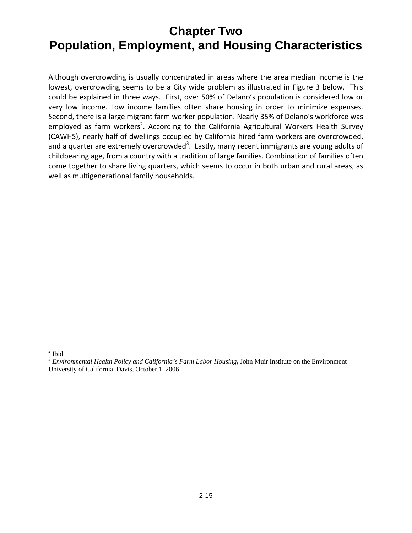Although overcrowding is usually concentrated in areas where the area median income is the lowest, overcrowding seems to be a City wide problem as illustrated in Figure 3 below. This could be explained in three ways. First, over 50% of Delano's population is considered low or very low income. Low income families often share housing in order to minimize expenses. Second, there is a large migrant farm worker population. Nearly 35% of Delano's workforce was employed as farm workers<sup>2</sup>. According to the California Agricultural Workers Health Survey (CAWHS), nearly half of dwellings occupied by California hired farm workers are overcrowded, and a quarter are extremely overcrowded<sup>3</sup>. Lastly, many recent immigrants are young adults of childbearing age, from a country with a tradition of large families. Combination of families often come together to share living quarters, which seems to occur in both urban and rural areas, as well as multigenerational family households.

 $\frac{2}{2}$  Ibid

<sup>3</sup> *Environmental Health Policy and California's Farm Labor Housing***,** John Muir Institute on the Environment University of California, Davis, October 1, 2006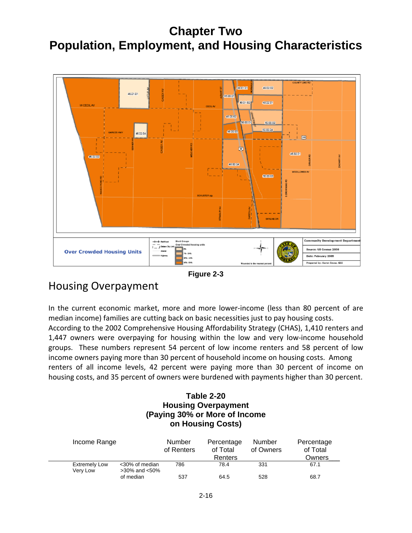

#### **Figure 2-3**

### Housing Overpayment

In the current economic market, more and more lower-income (less than 80 percent of are median income) families are cutting back on basic necessities just to pay housing costs. According to the 2002 Comprehensive Housing Affordability Strategy (CHAS), 1,410 renters and 1,447 owners were overpaying for housing within the low and very low‐income household groups. These numbers represent 54 percent of low income renters and 58 percent of low income owners paying more than 30 percent of household income on housing costs. Among renters of all income levels, 42 percent were paying more than 30 percent of income on housing costs, and 35 percent of owners were burdened with payments higher than 30 percent.

#### **Table 2-20 Housing Overpayment (Paying 30% or More of Income on Housing Costs)**

| Income Range                                       | <b>Number</b><br>of Renters | Percentage<br>of Total<br>Renters | Number<br>of Owners | Percentage<br>of Total<br>Owners |
|----------------------------------------------------|-----------------------------|-----------------------------------|---------------------|----------------------------------|
| <b>Extremely Low</b><br><30% of median<br>Verv Low | 786<br>$>30\%$ and $<50\%$  | 78.4                              | 331                 | 67.1                             |
| of median                                          | 537                         | 64.5                              | 528                 | 68.7                             |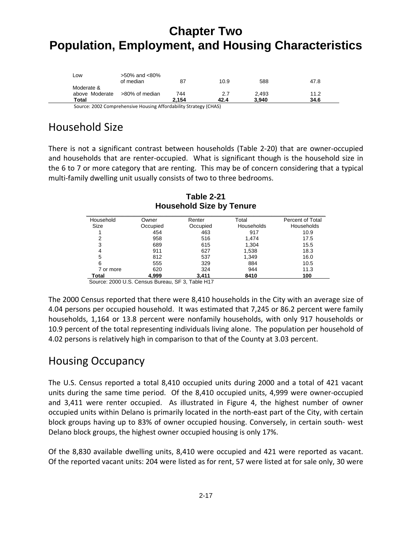| Total                        |                                  | 2.154 | 42.4 | 3.940 | 34.6 |
|------------------------------|----------------------------------|-------|------|-------|------|
|                              |                                  |       |      |       |      |
| Moderate &<br>above Moderate | >80% of median                   | 744   | 2.7  | 2.493 | 11.2 |
| LOW                          | $>50\%$ and $<80\%$<br>of median | 87    | 10.9 | 588   | 47.8 |

Source: <sup>2002</sup> Comprehensive Housing Affordability Strategy (CHAS)

## Household Size

There is not a significant contrast between households (Table 2‐20) that are owner‐occupied and households that are renter-occupied. What is significant though is the household size in the 6 to 7 or more category that are renting. This may be of concern considering that a typical multi-family dwelling unit usually consists of two to three bedrooms.

| Household | Owner    | Renter   | Total      | Percent of Total  |
|-----------|----------|----------|------------|-------------------|
| Size      | Occupied | Occupied | Households | <b>Households</b> |
|           | 454      | 463      | 917        | 10.9              |
| າ         | 958      | 516      | 1.474      | 17.5              |
| 3         | 689      | 615      | 1,304      | 15.5              |
| 4         | 911      | 627      | 1,538      | 18.3              |
| 5         | 812      | 537      | 1,349      | 16.0              |
| 6         | 555      | 329      | 884        | 10.5              |
| 7 or more | 620      | 324      | 944        | 11.3              |
| Total     | 4,999    | 3,411    | 8410       | 100               |

**Table 2-21 Household Size by Tenure** 

Source: 2000 U.S. Census Bureau, SF 3, Table H17

The 2000 Census reported that there were 8,410 households in the City with an average size of 4.04 persons per occupied household. It was estimated that 7,245 or 86.2 percent were family households, 1,164 or 13.8 percent were nonfamily households, with only 917 households or 10.9 percent of the total representing individuals living alone. The population per household of 4.02 persons is relatively high in comparison to that of the County at 3.03 percent.

### Housing Occupancy

The U.S. Census reported a total 8,410 occupied units during 2000 and a total of 421 vacant units during the same time period. Of the 8,410 occupied units, 4,999 were owner‐occupied and 3,411 were renter occupied. As illustrated in Figure 4, the highest number of owner occupied units within Delano is primarily located in the north‐east part of the City, with certain block groups having up to 83% of owner occupied housing. Conversely, in certain south‐ west Delano block groups, the highest owner occupied housing is only 17%.

Of the 8,830 available dwelling units, 8,410 were occupied and 421 were reported as vacant. Of the reported vacant units: 204 were listed as for rent, 57 were listed at for sale only, 30 were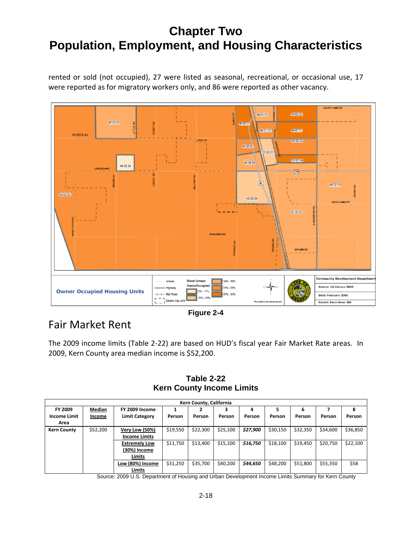rented or sold (not occupied), 27 were listed as seasonal, recreational, or occasional use, 17 were reported as for migratory workers only, and 86 were reported as other vacancy.



**Figure 2-4** 

### Fair Market Rent

The 2009 income limits (Table 2‐22) are based on HUD's fiscal year Fair Market Rate areas. In 2009, Kern County area median income is \$52,200.

**Table 2-22 Kern County Income Limits** 

|                     |          |                       |          | Kern County, California |          |          |          |          |          |          |
|---------------------|----------|-----------------------|----------|-------------------------|----------|----------|----------|----------|----------|----------|
| FY 2009             | Median   | FY 2009 Income        |          |                         |          | 4        |          | 6        |          | 8        |
| <b>Income Limit</b> | Income   | <b>Limit Category</b> | Person   | Person                  | Person   | Person   | Person   | Person   | Person   | Person   |
| Area                |          |                       |          |                         |          |          |          |          |          |          |
| <b>Kern County</b>  | \$52,200 | <b>Very Low (50%)</b> | \$19,550 | \$22,300                | \$25,100 | \$27,900 | \$30,150 | \$32,350 | \$34,600 | \$36,850 |
|                     |          | <b>Income Limits</b>  |          |                         |          |          |          |          |          |          |
|                     |          | <b>Extremely Low</b>  | \$11,750 | \$13,400                | \$15,100 | \$16,750 | \$18,100 | \$19,450 | \$20,750 | \$22,100 |
|                     |          | (30%) Income          |          |                         |          |          |          |          |          |          |
|                     |          | Limits                |          |                         |          |          |          |          |          |          |
|                     |          | Low (80%) Income      | \$31,250 | \$35,700                | \$40,200 | \$44,650 | \$48,200 | \$51,800 | \$55,350 | \$58     |
|                     |          | Limits                |          |                         |          |          |          |          |          |          |

Source: 2009 U.S. Department of Housing and Urban Development Income Limits Summary for Kern County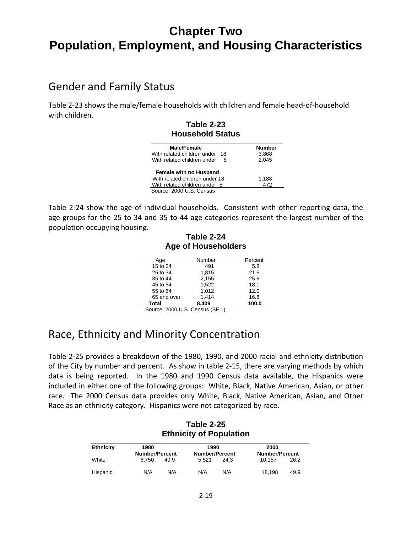### Gender and Family Status

Table 2‐23 shows the male/female households with children and female head‐of‐household with children.

#### **Table 2-23 Household Status \_\_\_\_\_\_\_\_\_\_\_\_\_\_\_\_\_\_\_\_\_\_\_\_\_\_\_\_\_\_\_\_\_\_\_\_\_\_\_\_\_\_\_\_**

| <b>Male/Female</b>                 | <b>Number</b> |
|------------------------------------|---------------|
| With related children under 18     | 3.868         |
| With related children under<br>- 5 | 2.045         |
| <b>Female with no Husband</b>      |               |
| With related children under 18     | 1.188         |
| With related children under 5      | 472           |
| Source: 2000 U.S. Census           |               |

Table 2‐24 show the age of individual households. Consistent with other reporting data, the age groups for the 25 to 34 and 35 to 44 age categories represent the largest number of the population occupying housing.

#### **Table 2-24 Age of Householders \_\_\_\_\_\_\_\_\_\_\_\_\_\_\_\_\_\_\_\_\_\_\_\_\_\_\_\_\_\_\_\_\_\_\_\_\_\_\_\_\_\_**

| Age         | Number                | Percent |
|-------------|-----------------------|---------|
| 15 to 24    | 491                   | 5.8     |
| 25 to 34    | 1,815                 | 21.6    |
| 35 to 44    | 2,155                 | 25.6    |
| 45 to 54    | 1.522                 | 18.1    |
| 55 to 64    | 1.012                 | 12.0    |
| 65 and over | 1,414                 | 16.8    |
| Total       | 8.409                 | 100.0   |
| --------    | $\sim$ $ \sim$ $\sim$ |         |

Source: 2000 U.S. Census (SF 1)

### Race, Ethnicity and Minority Concentration

Table 2‐25 provides a breakdown of the 1980, 1990, and 2000 racial and ethnicity distribution of the City by number and percent. As show in table 2‐15, there are varying methods by which data is being reported. In the 1980 and 1990 Census data available, the Hispanics were included in either one of the following groups: White, Black, Native American, Asian, or other race. The 2000 Census data provides only White, Black, Native American, Asian, and Other Race as an ethnicity category. Hispanics were not categorized by race.

### **Table 2-25 Ethnicity of Population**

| Ethnicity | 1980<br><b>Number/Percent</b> |      | 1990<br><b>Number/Percent</b> |      | 2000<br><b>Number/Percent</b> |      |
|-----------|-------------------------------|------|-------------------------------|------|-------------------------------|------|
| White     | 6.750                         | 40.9 | 5.521                         | 24.3 | 10.157                        | 26.2 |
| Hispanic  | N/A                           | N/A  | N/A                           | N/A  | 18.198                        | 49.9 |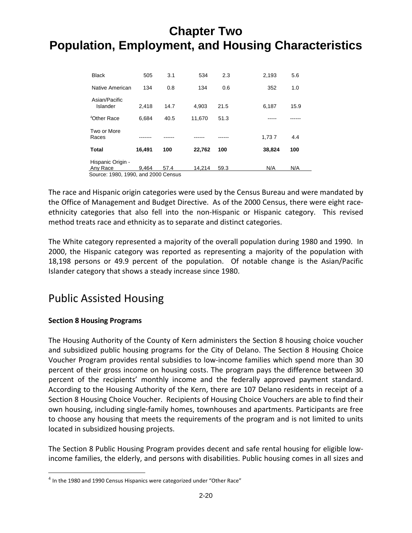| <b>Black</b>                        | 505    | 3.1  | 534    | 2.3  | 2,193  | 5.6  |
|-------------------------------------|--------|------|--------|------|--------|------|
| Native American                     | 134    | 0.8  | 134    | 0.6  | 352    | 1.0  |
| Asian/Pacific<br>Islander           | 2.418  | 14.7 | 4,903  | 21.5 | 6,187  | 15.9 |
| <sup>4</sup> Other Race             | 6.684  | 40.5 | 11,670 | 51.3 |        |      |
| Two or More<br>Races                |        |      |        |      | 1,737  | 4.4  |
| Total                               | 16,491 | 100  | 22,762 | 100  | 38,824 | 100  |
| Hispanic Origin -                   |        |      |        |      |        |      |
| Any Race                            | 9.464  | 57.4 | 14,214 | 59.3 | N/A    | N/A  |
| Source: 1980, 1990, and 2000 Census |        |      |        |      |        |      |

The race and Hispanic origin categories were used by the Census Bureau and were mandated by the Office of Management and Budget Directive. As of the 2000 Census, there were eight race‐ ethnicity categories that also fell into the non-Hispanic or Hispanic category. This revised method treats race and ethnicity as to separate and distinct categories.

The White category represented a majority of the overall population during 1980 and 1990. In 2000, the Hispanic category was reported as representing a majority of the population with 18,198 persons or 49.9 percent of the population. Of notable change is the Asian/Pacific Islander category that shows a steady increase since 1980.

### Public Assisted Housing

### **Section 8 Housing Programs**

 $\overline{a}$ 

The Housing Authority of the County of Kern administers the Section 8 housing choice voucher and subsidized public housing programs for the City of Delano. The Section 8 Housing Choice Voucher Program provides rental subsidies to low‐income families which spend more than 30 percent of their gross income on housing costs. The program pays the difference between 30 percent of the recipients' monthly income and the federally approved payment standard. According to the Housing Authority of the Kern, there are 107 Delano residents in receipt of a Section 8 Housing Choice Voucher. Recipients of Housing Choice Vouchers are able to find their own housing, including single‐family homes, townhouses and apartments. Participants are free to choose any housing that meets the requirements of the program and is not limited to units located in subsidized housing projects.

The Section 8 Public Housing Program provides decent and safe rental housing for eligible low‐ income families, the elderly, and persons with disabilities. Public housing comes in all sizes and

 $<sup>4</sup>$  In the 1980 and 1990 Census Hispanics were categorized under "Other Race"</sup>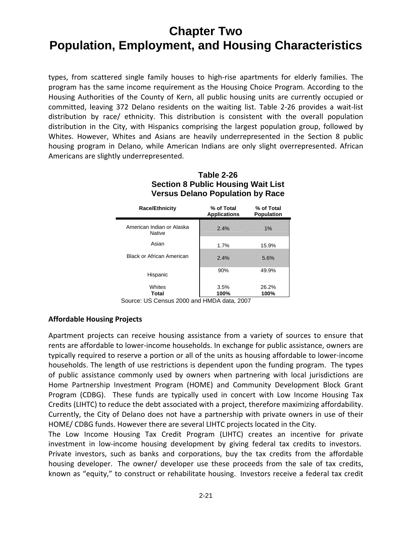types, from scattered single family houses to high‐rise apartments for elderly families. The program has the same income requirement as the Housing Choice Program. According to the Housing Authorities of the County of Kern, all public housing units are currently occupied or committed, leaving 372 Delano residents on the waiting list. Table 2‐26 provides a wait‐list distribution by race/ ethnicity. This distribution is consistent with the overall population distribution in the City, with Hispanics comprising the largest population group, followed by Whites. However, Whites and Asians are heavily underrepresented in the Section 8 public housing program in Delano, while American Indians are only slight overrepresented. African Americans are slightly underrepresented.

| <b>Race/Ethnicity</b>                      | % of Total<br><b>Applications</b> | % of Total<br><b>Population</b> |
|--------------------------------------------|-----------------------------------|---------------------------------|
| American Indian or Alaska<br><b>Native</b> | 2.4%                              | 1%                              |
| Asian                                      | 1.7%                              | 15.9%                           |
| <b>Black or African American</b>           | 2.4%                              | 5.6%                            |
| Hispanic                                   | 90%                               | 49.9%                           |
| Whites<br>Total                            | 3.5%<br>100%                      | 26.2%<br>100%                   |

#### **Table 2-26 Section 8 Public Housing Wait List Versus Delano Population by Race**

Source: US Census 2000 and HMDA data, 2007

#### **Affordable Housing Projects**

Apartment projects can receive housing assistance from a variety of sources to ensure that rents are affordable to lower‐income households. In exchange for public assistance, owners are typically required to reserve a portion or all of the units as housing affordable to lower‐income households. The length of use restrictions is dependent upon the funding program. The types of public assistance commonly used by owners when partnering with local jurisdictions are Home Partnership Investment Program (HOME) and Community Development Block Grant Program (CDBG). These funds are typically used in concert with Low Income Housing Tax Credits (LIHTC) to reduce the debt associated with a project, therefore maximizing affordability. Currently, the City of Delano does not have a partnership with private owners in use of their HOME/ CDBG funds. However there are several LIHTC projects located in the City.

The Low Income Housing Tax Credit Program (LIHTC) creates an incentive for private investment in low-income housing development by giving federal tax credits to investors. Private investors, such as banks and corporations, buy the tax credits from the affordable housing developer. The owner/ developer use these proceeds from the sale of tax credits, known as "equity," to construct or rehabilitate housing. Investors receive a federal tax credit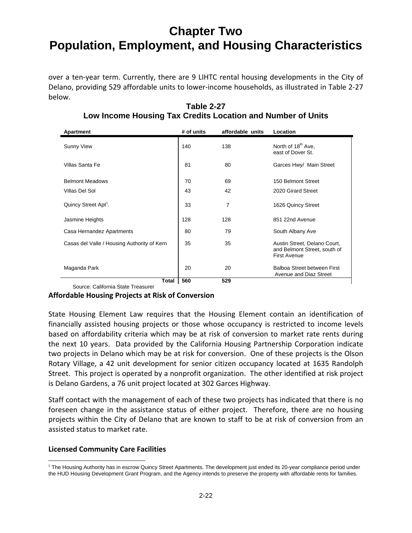over a ten‐year term. Currently, there are 9 LIHTC rental housing developments in the City of Delano, providing 529 affordable units to lower‐income households, as illustrated in Table 2‐27 below.

| Apartment                                   | # of units | affordable units | Location                                                                            |
|---------------------------------------------|------------|------------------|-------------------------------------------------------------------------------------|
| <b>Sunny View</b>                           | 140        | 138              | North of 18 <sup>th</sup> Ave,<br>east of Dover St.                                 |
| Villas Santa Fe                             | 81         | 80               | Garces Hwy/ Main Street                                                             |
| <b>Belmont Meadows</b>                      | 70         | 69               | 150 Belmont Street                                                                  |
| Villas Del Sol                              | 43         | 42               | 2020 Girard Street                                                                  |
| Quincy Street Apt <sup>5</sup> .            | 33         | 7                | 1626 Quincy Street                                                                  |
| Jasmine Heights                             | 128        | 128              | 851 22nd Avenue                                                                     |
| Casa Hernandez Apartments                   | 80         | 79               | South Albany Ave                                                                    |
| Casas del Valle / Housing Authority of Kern | 35         | 35               | Austin Street, Delano Court,<br>and Belmont Street, south of<br><b>First Avenue</b> |
| Maganda Park                                | 20         | 20               | Balboa Street between First<br>Avenue and Diaz Street                               |
| Total                                       | 560        | 529              |                                                                                     |

#### **Table 2-27 Low Income Housing Tax Credits Location and Number of Units**

Source: California State Treasurer

#### **Affordable Housing Projects at Risk of Conversion**

State Housing Element Law requires that the Housing Element contain an identification of financially assisted housing projects or those whose occupancy is restricted to income levels based on affordability criteria which may be at risk of conversion to market rate rents during the next 10 years. Data provided by the California Housing Partnership Corporation indicate two projects in Delano which may be at risk for conversion. One of these projects is the Olson Rotary Village, a 42 unit development for senior citizen occupancy located at 1635 Randolph Street. This project is operated by a nonprofit organization. The other identified at risk project is Delano Gardens, a 76 unit project located at 302 Garces Highway.

Staff contact with the management of each of these two projects has indicated that there is no foreseen change in the assistance status of either project. Therefore, there are no housing projects within the City of Delano that are known to staff to be at risk of conversion from an assisted status to market rate.

#### **Licensed Community Care Facilities**

 $\overline{a}$ <sup>5</sup> The Housing Authority has in escrow Quincy Street Apartments. The development just ended its 20-year compliance period under the HUD Housing Development Grant Program, and the Agency intends to preserve the property with affordable rents for families.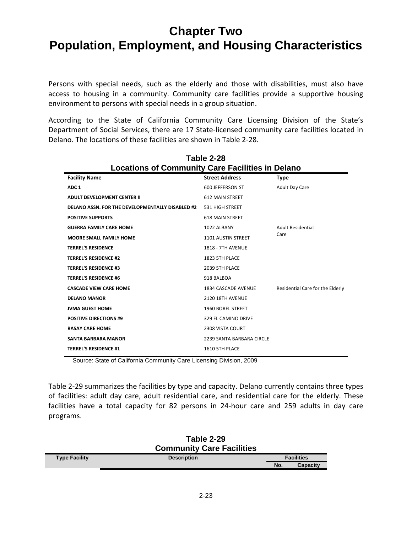Persons with special needs, such as the elderly and those with disabilities, must also have access to housing in a community. Community care facilities provide a supportive housing environment to persons with special needs in a group situation.

According to the State of California Community Care Licensing Division of the State's Department of Social Services, there are 17 State‐licensed community care facilities located in Delano. The locations of these facilities are shown in Table 2‐28.

| Table 2-28                                              |                           |                                  |  |  |  |
|---------------------------------------------------------|---------------------------|----------------------------------|--|--|--|
| <b>Locations of Community Care Facilities in Delano</b> |                           |                                  |  |  |  |
| <b>Facility Name</b>                                    | <b>Street Address</b>     | <b>Type</b>                      |  |  |  |
| ADC <sub>1</sub>                                        | 600 JEFFERSON ST          | <b>Adult Day Care</b>            |  |  |  |
| <b>ADULT DEVELOPMENT CENTER II</b>                      | <b>612 MAIN STREET</b>    |                                  |  |  |  |
| <b>DELANO ASSN. FOR THE DEVELOPMENTALLY DISABLED #2</b> | 531 HIGH STREET           |                                  |  |  |  |
| <b>POSITIVE SUPPORTS</b>                                | <b>618 MAIN STREET</b>    |                                  |  |  |  |
| <b>GUERRA FAMILY CARE HOME</b>                          | 1022 ALBANY               | <b>Adult Residential</b>         |  |  |  |
| <b>MOORE SMALL FAMILY HOME</b>                          | <b>1101 AUSTIN STREET</b> | Care                             |  |  |  |
| <b>TERREL'S RESIDENCE</b>                               | <b>1818 - 7TH AVENUE</b>  |                                  |  |  |  |
| <b>TERREL'S RESIDENCE #2</b>                            | 1823 5TH PLACE            |                                  |  |  |  |
| <b>TERREL'S RESIDENCE #3</b>                            | 2039 5TH PLACE            |                                  |  |  |  |
| <b>TERREL'S RESIDENCE #6</b>                            | 918 BALBOA                |                                  |  |  |  |
| <b>CASCADE VIEW CARE HOME</b>                           | 1834 CASCADE AVENUE       | Residential Care for the Elderly |  |  |  |
| <b>DELANO MANOR</b>                                     | 2120 18TH AVENUE          |                                  |  |  |  |
| <b>JVMA GUEST HOME</b>                                  | <b>1960 BOREL STREET</b>  |                                  |  |  |  |
| <b>POSITIVE DIRECTIONS #9</b>                           | 329 EL CAMINO DRIVE       |                                  |  |  |  |
| <b>RASAY CARE HOME</b>                                  | 2308 VISTA COURT          |                                  |  |  |  |
| <b>SANTA BARBARA MANOR</b>                              | 2239 SANTA BARBARA CIRCLE |                                  |  |  |  |
| <b>TERREL'S RESIDENCE #1</b>                            | 1610 5TH PLACE            |                                  |  |  |  |
|                                                         |                           |                                  |  |  |  |

Source: State of California Community Care Licensing Division, 2009

Table 2‐29 summarizes the facilities by type and capacity. Delano currently contains three types of facilities: adult day care, adult residential care, and residential care for the elderly. These facilities have a total capacity for 82 persons in 24‐hour care and 259 adults in day care programs.

|                      | Table 2-29<br><b>Community Care Facilities</b> |                   |          |
|----------------------|------------------------------------------------|-------------------|----------|
| <b>Type Facility</b> | <b>Description</b>                             | <b>Facilities</b> |          |
|                      |                                                | No.               | Capacity |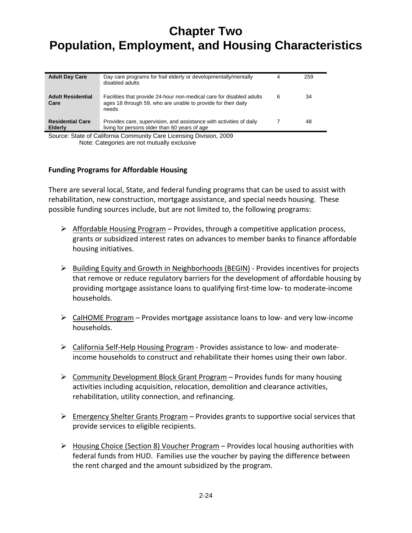| <b>Adult Day Care</b>                                               | Day care programs for frail elderly or developmentally/mentally<br>disabled adults                                                             | 4 | 259 |
|---------------------------------------------------------------------|------------------------------------------------------------------------------------------------------------------------------------------------|---|-----|
| <b>Adult Residential</b><br>Care                                    | Facilities that provide 24-hour non-medical care for disabled adults<br>ages 18 through 59, who are unable to provide for their daily<br>needs | 6 | 34  |
| <b>Residential Care</b><br><b>Elderly</b>                           | Provides care, supervision, and assistance with activities of daily<br>living for persons older than 60 years of age                           |   | 48  |
| Source: State of California Community Care Licensing Division, 2009 |                                                                                                                                                |   |     |

Note: Categories are not mutually exclusive

#### **Funding Programs for Affordable Housing**

There are several local, State, and federal funding programs that can be used to assist with rehabilitation, new construction, mortgage assistance, and special needs housing. These possible funding sources include, but are not limited to, the following programs:

- $\triangleright$  Affordable Housing Program Provides, through a competitive application process, grants or subsidized interest rates on advances to member banks to finance affordable housing initiatives.
- $\triangleright$  Building Equity and Growth in Neighborhoods (BEGIN) Provides incentives for projects that remove or reduce regulatory barriers for the development of affordable housing by providing mortgage assistance loans to qualifying first-time low- to moderate-income households.
- CalHOME Program Provides mortgage assistance loans to low‐ and very low‐income households.
- California Self‐Help Housing Program ‐ Provides assistance to low‐ and moderate‐ income households to construct and rehabilitate their homes using their own labor.
- $\triangleright$  Community Development Block Grant Program Provides funds for many housing activities including acquisition, relocation, demolition and clearance activities, rehabilitation, utility connection, and refinancing.
- Emergency Shelter Grants Program Provides grants to supportive social services that provide services to eligible recipients.
- $\triangleright$  Housing Choice (Section 8) Voucher Program Provides local housing authorities with federal funds from HUD. Families use the voucher by paying the difference between the rent charged and the amount subsidized by the program.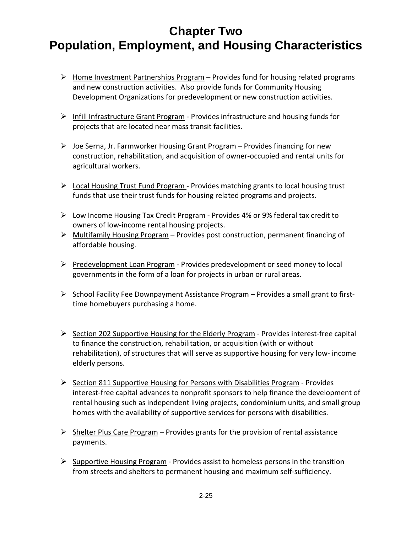- $\triangleright$  Home Investment Partnerships Program Provides fund for housing related programs and new construction activities. Also provide funds for Community Housing Development Organizations for predevelopment or new construction activities.
- Infill Infrastructure Grant Program ‐ Provides infrastructure and housing funds for projects that are located near mass transit facilities.
- $\triangleright$  Joe Serna, Jr. Farmworker Housing Grant Program Provides financing for new construction, rehabilitation, and acquisition of owner‐occupied and rental units for agricultural workers.
- Local Housing Trust Fund Program ‐ Provides matching grants to local housing trust funds that use their trust funds for housing related programs and projects.
- $\triangleright$  Low Income Housing Tax Credit Program Provides 4% or 9% federal tax credit to owners of low‐income rental housing projects.
- $\triangleright$  Multifamily Housing Program Provides post construction, permanent financing of affordable housing.
- Predevelopment Loan Program Provides predevelopment or seed money to local governments in the form of a loan for projects in urban or rural areas.
- > School Facility Fee Downpayment Assistance Program Provides a small grant to firsttime homebuyers purchasing a home.
- $\triangleright$  Section 202 Supportive Housing for the Elderly Program Provides interest-free capital to finance the construction, rehabilitation, or acquisition (with or without rehabilitation), of structures that will serve as supportive housing for very low‐ income elderly persons.
- $\triangleright$  Section 811 Supportive Housing for Persons with Disabilities Program Provides interest‐free capital advances to nonprofit sponsors to help finance the development of rental housing such as independent living projects, condominium units, and small group homes with the availability of supportive services for persons with disabilities.
- $\triangleright$  Shelter Plus Care Program Provides grants for the provision of rental assistance payments.
- $\triangleright$  Supportive Housing Program Provides assist to homeless persons in the transition from streets and shelters to permanent housing and maximum self‐sufficiency.